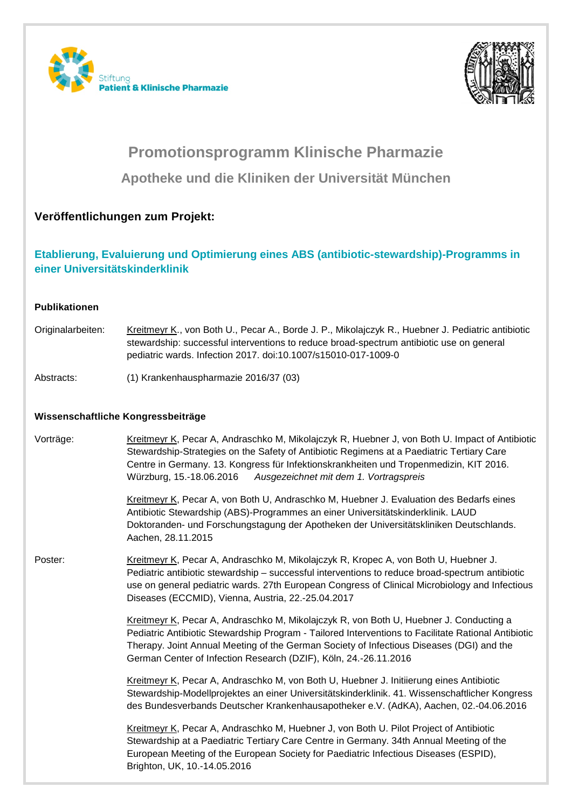



# **Promotionsprogramm Klinische Pharmazie Apotheke und die Kliniken der Universität München**

## **Veröffentlichungen zum Projekt:**

## **Etablierung, Evaluierung und Optimierung eines ABS (antibiotic-stewardship)-Programms in einer Universitätskinderklinik**

#### **Publikationen**

Originalarbeiten: Kreitmeyr K., von Both U., Pecar A., Borde J. P., Mikolajczyk R., Huebner J. Pediatric antibiotic stewardship: successful interventions to reduce broad-spectrum antibiotic use on general pediatric wards. Infection 2017. doi:10.1007/s15010-017-1009-0

Abstracts: (1) Krankenhauspharmazie 2016/37 (03)

### **Wissenschaftliche Kongressbeiträge**

| Vorträge: | Kreitmeyr K, Pecar A, Andraschko M, Mikolajczyk R, Huebner J, von Both U. Impact of Antibiotic<br>Stewardship-Strategies on the Safety of Antibiotic Regimens at a Paediatric Tertiary Care<br>Centre in Germany. 13. Kongress für Infektionskrankheiten und Tropenmedizin, KIT 2016.<br>Würzburg, 15.-18.06.2016<br>Ausgezeichnet mit dem 1. Vortragspreis   |
|-----------|---------------------------------------------------------------------------------------------------------------------------------------------------------------------------------------------------------------------------------------------------------------------------------------------------------------------------------------------------------------|
|           | Kreitmeyr K, Pecar A, von Both U, Andraschko M, Huebner J. Evaluation des Bedarfs eines<br>Antibiotic Stewardship (ABS)-Programmes an einer Universitätskinderklinik. LAUD<br>Doktoranden- und Forschungstagung der Apotheken der Universitätskliniken Deutschlands.<br>Aachen, 28.11.2015                                                                    |
| Poster:   | Kreitmeyr K, Pecar A, Andraschko M, Mikolajczyk R, Kropec A, von Both U, Huebner J.<br>Pediatric antibiotic stewardship - successful interventions to reduce broad-spectrum antibiotic<br>use on general pediatric wards. 27th European Congress of Clinical Microbiology and Infectious<br>Diseases (ECCMID), Vienna, Austria, 22.-25.04.2017                |
|           | Kreitmeyr K, Pecar A, Andraschko M, Mikolajczyk R, von Both U, Huebner J. Conducting a<br>Pediatric Antibiotic Stewardship Program - Tailored Interventions to Facilitate Rational Antibiotic<br>Therapy. Joint Annual Meeting of the German Society of Infectious Diseases (DGI) and the<br>German Center of Infection Research (DZIF), Köln, 24.-26.11.2016 |
|           | Kreitmeyr K, Pecar A, Andraschko M, von Both U, Huebner J. Initiierung eines Antibiotic<br>Stewardship-Modellprojektes an einer Universitätskinderklinik. 41. Wissenschaftlicher Kongress<br>des Bundesverbands Deutscher Krankenhausapotheker e.V. (AdKA), Aachen, 02.-04.06.2016                                                                            |
|           | Kreitmeyr K, Pecar A, Andraschko M, Huebner J, von Both U. Pilot Project of Antibiotic<br>Stewardship at a Paediatric Tertiary Care Centre in Germany. 34th Annual Meeting of the<br>European Meeting of the European Society for Paediatric Infectious Diseases (ESPID),<br>Brighton, UK, 10.-14.05.2016                                                     |